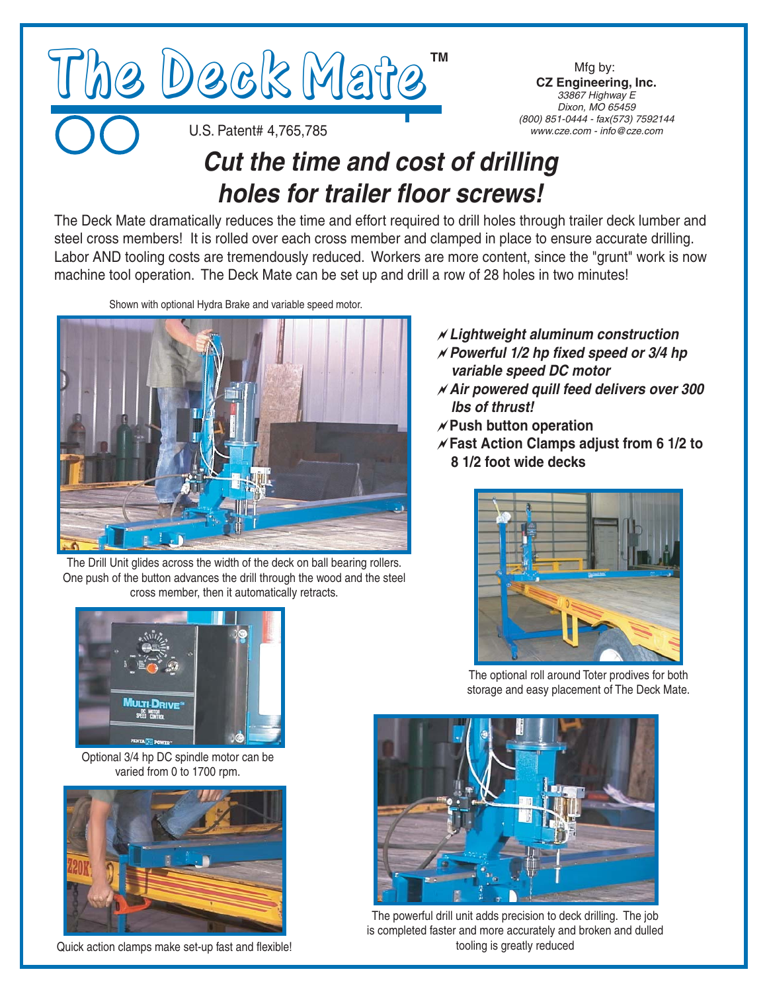

Mfg by: **CZ Engineering, Inc.**<br>33867 Highway E Dixon, MO 65459 *(800)* 851-0444 - fax(573) 7592144 *(800) 851-0444 - fax(573) 7592144*

U.S. Patent# 4,765,785

## *Cut the time and cost of drilling holes for trailer floor screws!*

The Deck Mate dramatically reduces the time and effort required to drill holes through trailer deck lumber and steel cross members! It is rolled over each cross member and clamped in place to ensure accurate drilling. Labor AND tooling costs are tremendously reduced. Workers are more content, since the "grunt" work is now machine tool operation. The Deck Mate can be set up and drill a row of 28 holes in two minutes!

Shown with optional Hydra Brake and variable speed motor.



The Drill Unit glides across the width of the deck on ball bearing rollers. One push of the button advances the drill through the wood and the steel cross member, then it automatically retracts.



Optional 3/4 hp DC spindle motor can be varied from 0 to 1700 rpm.



Quick action clamps make set-up fast and flexible!

- a*Lightweight aluminum construction* a*Powerful 1/2 hp fixed speed or 3/4 hp variable speed DC motor*
- a*Air powered quill feed delivers over 300 lbs of thrust!*
- a**Push button operation**
- a**Fast Action Clamps adjust from 6 1/2 to 8 1/2 foot wide decks**



The optional roll around Toter prodives for both storage and easy placement of The Deck Mate.



The powerful drill unit adds precision to deck drilling. The job is completed faster and more accurately and broken and dulled tooling is greatly reduced